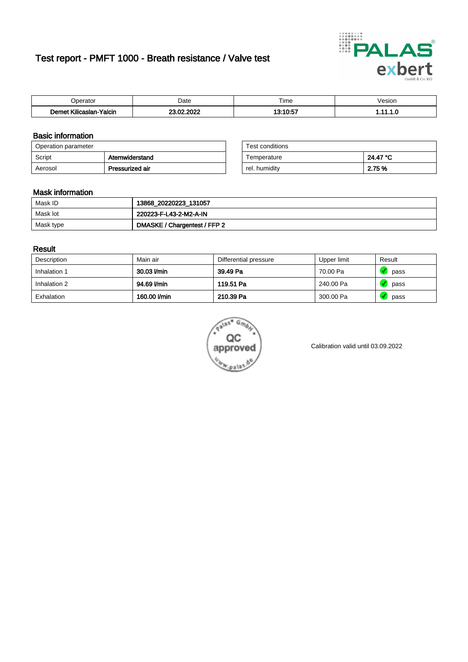# Test report - PMFT 1000 - Breath resistance / Valve test



| Joerator                           | Date                          | $- \cdot$<br>Гіmе | esion/ |
|------------------------------------|-------------------------------|-------------------|--------|
| .<br>Yalcin<br>⊿slan-`<br>∴∧Ilicae | . nnoc<br>no.<br>$\sim$<br>w. | 10.10.57<br>1 U.U | .      |

### Basic information

| Operation parameter |                 | Test conditions |          |
|---------------------|-----------------|-----------------|----------|
| Script              | Atemwiderstand  | Temperature     | 24.47 °C |
| Aerosol             | Pressurized air | rel. humidity   | 2.75 %   |

| Test conditions |          |
|-----------------|----------|
| Temperature     | 24.47 °C |
| rel. humidity   | 2.75 %   |

#### Mask information

| Mask ID   | 13868_20220223_131057        |
|-----------|------------------------------|
| Mask lot  | 220223-F-L43-2-M2-A-IN       |
| Mask type | DMASKE / Chargentest / FFP 2 |

### Result

| Description  | Main air     | Differential pressure | Upper limit | Result |
|--------------|--------------|-----------------------|-------------|--------|
| Inhalation 1 | 30.03 l/min  | 39.49 Pa              | 70.00 Pa    | pass   |
| Inhalation 2 | 94.69 l/min  | 119.51 Pa             | 240.00 Pa   | pass   |
| Exhalation   | 160.00 l/min | 210.39 Pa             | 300.00 Pa   | pass   |



Calibration valid until 03.09.2022